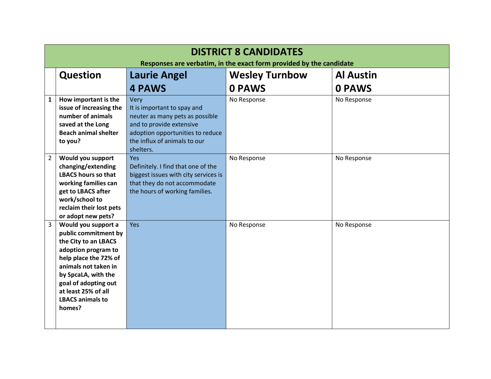|                | <b>DISTRICT 8 CANDIDATES</b><br>Responses are verbatim, in the exact form provided by the candidate |                                      |                       |                  |
|----------------|-----------------------------------------------------------------------------------------------------|--------------------------------------|-----------------------|------------------|
|                | <b>Question</b>                                                                                     | <b>Laurie Angel</b>                  | <b>Wesley Turnbow</b> | <b>Al Austin</b> |
|                |                                                                                                     | <b>4 PAWS</b>                        | <b>0 PAWS</b>         | <b>0 PAWS</b>    |
| $\mathbf{1}$   | How important is the                                                                                | Very                                 | No Response           | No Response      |
|                | issue of increasing the                                                                             | It is important to spay and          |                       |                  |
|                | number of animals                                                                                   | neuter as many pets as possible      |                       |                  |
|                | saved at the Long                                                                                   | and to provide extensive             |                       |                  |
|                | <b>Beach animal shelter</b>                                                                         | adoption opportunities to reduce     |                       |                  |
|                | to you?                                                                                             | the influx of animals to our         |                       |                  |
|                |                                                                                                     | shelters.                            |                       |                  |
| $\overline{2}$ | Would you support                                                                                   | <b>Yes</b>                           | No Response           | No Response      |
|                | changing/extending                                                                                  | Definitely. I find that one of the   |                       |                  |
|                | <b>LBACS hours so that</b>                                                                          | biggest issues with city services is |                       |                  |
|                | working families can                                                                                | that they do not accommodate         |                       |                  |
|                | get to LBACS after                                                                                  | the hours of working families.       |                       |                  |
|                | work/school to<br>reclaim their lost pets                                                           |                                      |                       |                  |
|                | or adopt new pets?                                                                                  |                                      |                       |                  |
| 3              | Would you support a                                                                                 | Yes                                  | No Response           | No Response      |
|                | public commitment by                                                                                |                                      |                       |                  |
|                | the City to an LBACS                                                                                |                                      |                       |                  |
|                | adoption program to                                                                                 |                                      |                       |                  |
|                | help place the 72% of                                                                               |                                      |                       |                  |
|                | animals not taken in                                                                                |                                      |                       |                  |
|                | by SpcaLA, with the                                                                                 |                                      |                       |                  |
|                | goal of adopting out                                                                                |                                      |                       |                  |
|                | at least 25% of all                                                                                 |                                      |                       |                  |
|                | <b>LBACS animals to</b>                                                                             |                                      |                       |                  |
|                | homes?                                                                                              |                                      |                       |                  |
|                |                                                                                                     |                                      |                       |                  |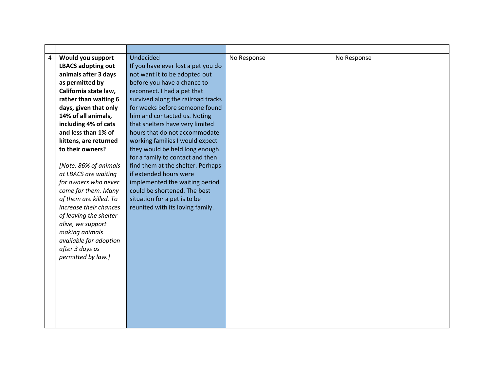| $\overline{4}$ | Would you support         | Undecided                          | No Response | No Response |
|----------------|---------------------------|------------------------------------|-------------|-------------|
|                | <b>LBACS adopting out</b> | If you have ever lost a pet you do |             |             |
|                | animals after 3 days      | not want it to be adopted out      |             |             |
|                | as permitted by           | before you have a chance to        |             |             |
|                | California state law,     | reconnect. I had a pet that        |             |             |
|                | rather than waiting 6     | survived along the railroad tracks |             |             |
|                | days, given that only     | for weeks before someone found     |             |             |
|                | 14% of all animals,       | him and contacted us. Noting       |             |             |
|                | including 4% of cats      | that shelters have very limited    |             |             |
|                | and less than 1% of       | hours that do not accommodate      |             |             |
|                | kittens, are returned     | working families I would expect    |             |             |
|                | to their owners?          | they would be held long enough     |             |             |
|                |                           | for a family to contact and then   |             |             |
|                | [Note: 86% of animals     | find them at the shelter. Perhaps  |             |             |
|                | at LBACS are waiting      | if extended hours were             |             |             |
|                | for owners who never      | implemented the waiting period     |             |             |
|                | come for them. Many       | could be shortened. The best       |             |             |
|                | of them are killed. To    | situation for a pet is to be       |             |             |
|                | increase their chances    | reunited with its loving family.   |             |             |
|                | of leaving the shelter    |                                    |             |             |
|                | alive, we support         |                                    |             |             |
|                | making animals            |                                    |             |             |
|                | available for adoption    |                                    |             |             |
|                | after 3 days as           |                                    |             |             |
|                | permitted by law.]        |                                    |             |             |
|                |                           |                                    |             |             |
|                |                           |                                    |             |             |
|                |                           |                                    |             |             |
|                |                           |                                    |             |             |
|                |                           |                                    |             |             |
|                |                           |                                    |             |             |
|                |                           |                                    |             |             |
|                |                           |                                    |             |             |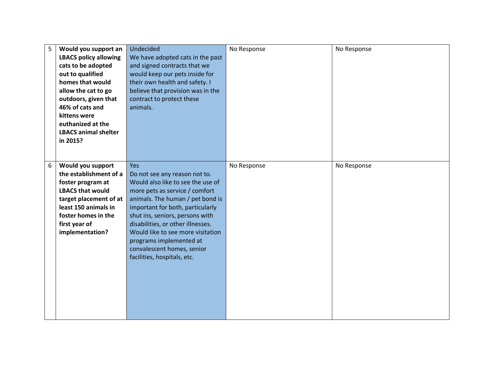| 5 | Would you support an<br><b>LBACS policy allowing</b><br>cats to be adopted<br>out to qualified<br>homes that would<br>allow the cat to go<br>outdoors, given that<br>46% of cats and<br>kittens were<br>euthanized at the<br><b>LBACS animal shelter</b><br>in 2015? | Undecided<br>We have adopted cats in the past<br>and signed contracts that we<br>would keep our pets inside for<br>their own health and safety. I<br>believe that provision was in the<br>contract to protect these<br>animals. | No Response | No Response |
|---|----------------------------------------------------------------------------------------------------------------------------------------------------------------------------------------------------------------------------------------------------------------------|---------------------------------------------------------------------------------------------------------------------------------------------------------------------------------------------------------------------------------|-------------|-------------|
| 6 | Would you support<br>the establishment of a<br>foster program at                                                                                                                                                                                                     | Yes<br>Do not see any reason not to.<br>Would also like to see the use of                                                                                                                                                       | No Response | No Response |
|   | <b>LBACS that would</b>                                                                                                                                                                                                                                              | more pets as service / comfort                                                                                                                                                                                                  |             |             |
|   | target placement of at                                                                                                                                                                                                                                               | animals. The human / pet bond is                                                                                                                                                                                                |             |             |
|   | least 150 animals in                                                                                                                                                                                                                                                 | important for both, particularly                                                                                                                                                                                                |             |             |
|   | foster homes in the                                                                                                                                                                                                                                                  | shut ins, seniors, persons with                                                                                                                                                                                                 |             |             |
|   | first year of                                                                                                                                                                                                                                                        | disabilities, or other illnesses.                                                                                                                                                                                               |             |             |
|   | implementation?                                                                                                                                                                                                                                                      | Would like to see more visitation                                                                                                                                                                                               |             |             |
|   |                                                                                                                                                                                                                                                                      | programs implemented at<br>convalescent homes, senior                                                                                                                                                                           |             |             |
|   |                                                                                                                                                                                                                                                                      | facilities, hospitals, etc.                                                                                                                                                                                                     |             |             |
|   |                                                                                                                                                                                                                                                                      |                                                                                                                                                                                                                                 |             |             |
|   |                                                                                                                                                                                                                                                                      |                                                                                                                                                                                                                                 |             |             |
|   |                                                                                                                                                                                                                                                                      |                                                                                                                                                                                                                                 |             |             |
|   |                                                                                                                                                                                                                                                                      |                                                                                                                                                                                                                                 |             |             |
|   |                                                                                                                                                                                                                                                                      |                                                                                                                                                                                                                                 |             |             |
|   |                                                                                                                                                                                                                                                                      |                                                                                                                                                                                                                                 |             |             |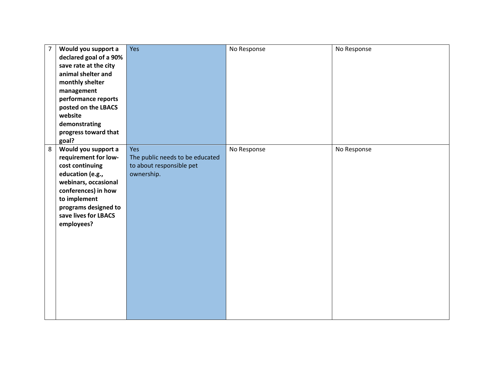| $\overline{7}$ | Would you support a    | Yes                             | No Response | No Response |
|----------------|------------------------|---------------------------------|-------------|-------------|
|                | declared goal of a 90% |                                 |             |             |
|                | save rate at the city  |                                 |             |             |
|                | animal shelter and     |                                 |             |             |
|                | monthly shelter        |                                 |             |             |
|                | management             |                                 |             |             |
|                | performance reports    |                                 |             |             |
|                | posted on the LBACS    |                                 |             |             |
|                | website                |                                 |             |             |
|                | demonstrating          |                                 |             |             |
|                | progress toward that   |                                 |             |             |
|                | goal?                  |                                 |             |             |
| 8              | Would you support a    | Yes                             | No Response | No Response |
|                | requirement for low-   | The public needs to be educated |             |             |
|                | cost continuing        | to about responsible pet        |             |             |
|                | education (e.g.,       | ownership.                      |             |             |
|                | webinars, occasional   |                                 |             |             |
|                | conferences) in how    |                                 |             |             |
|                | to implement           |                                 |             |             |
|                | programs designed to   |                                 |             |             |
|                | save lives for LBACS   |                                 |             |             |
|                | employees?             |                                 |             |             |
|                |                        |                                 |             |             |
|                |                        |                                 |             |             |
|                |                        |                                 |             |             |
|                |                        |                                 |             |             |
|                |                        |                                 |             |             |
|                |                        |                                 |             |             |
|                |                        |                                 |             |             |
|                |                        |                                 |             |             |
|                |                        |                                 |             |             |
|                |                        |                                 |             |             |
|                |                        |                                 |             |             |